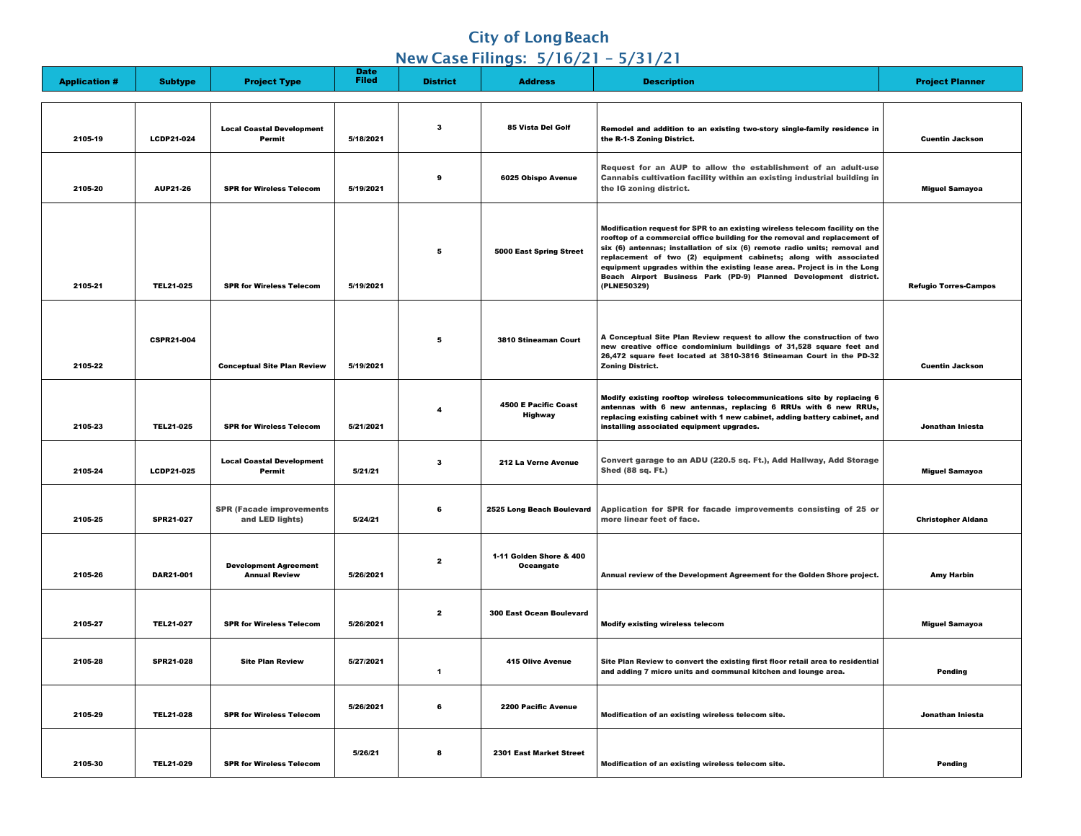## **City of Long Beach**

### New Case Filings: 5/16/21 – 5/31/21

| <b>Application #</b> | <b>Subtype</b>    | <b>Project Type</b>                                  | <b>Date</b><br><b>Filed</b> | <b>District</b> | <b>Address</b>                                | <b>Description</b>                                                                                                                                                                                                                                                                                                                                                                                                                                                          | <b>Project Planner</b>       |
|----------------------|-------------------|------------------------------------------------------|-----------------------------|-----------------|-----------------------------------------------|-----------------------------------------------------------------------------------------------------------------------------------------------------------------------------------------------------------------------------------------------------------------------------------------------------------------------------------------------------------------------------------------------------------------------------------------------------------------------------|------------------------------|
|                      |                   |                                                      |                             |                 |                                               |                                                                                                                                                                                                                                                                                                                                                                                                                                                                             |                              |
| 2105-19              | <b>LCDP21-024</b> | <b>Local Coastal Development</b><br><b>Permit</b>    | 5/18/2021                   | -3              | 85 Vista Del Golf                             | Remodel and addition to an existing two-story single-family residence in<br>the R-1-S Zoning District.                                                                                                                                                                                                                                                                                                                                                                      | <b>Cuentin Jackson</b>       |
| 2105-20              | <b>AUP21-26</b>   | <b>SPR for Wireless Telecom</b>                      | 5/19/2021                   | 9               | <b>6025 Obispo Avenue</b>                     | Request for an AUP to allow the establishment of an adult-use<br>Cannabis cultivation facility within an existing industrial building in<br>the IG zoning district.                                                                                                                                                                                                                                                                                                         | <b>Miguel Samayoa</b>        |
| 2105-21              | <b>TEL21-025</b>  | <b>SPR for Wireless Telecom</b>                      | 5/19/2021                   | 5               | <b>5000 East Spring Street</b>                | Modification request for SPR to an existing wireless telecom facility on the<br>rooftop of a commercial office building for the removal and replacement of<br>six (6) antennas; installation of six (6) remote radio units; removal and<br>replacement of two (2) equipment cabinets; along with associated<br>equipment upgrades within the existing lease area. Project is in the Long<br>Beach Airport Business Park (PD-9) Planned Development district.<br>(PLNE50329) | <b>Refugio Torres-Campos</b> |
| 2105-22              | <b>CSPR21-004</b> | <b>Conceptual Site Plan Review</b>                   | 5/19/2021                   | $5\overline{5}$ | <b>3810 Stineaman Court</b>                   | A Conceptual Site Plan Review request to allow the construction of two<br>new creative office condominium buildings of 31,528 square feet and<br>26,472 square feet located at 3810-3816 Stineaman Court in the PD-32<br><b>Zoning District.</b>                                                                                                                                                                                                                            | <b>Cuentin Jackson</b>       |
| 2105-23              | <b>TEL21-025</b>  | <b>SPR for Wireless Telecom</b>                      | 5/21/2021                   |                 | <b>4500 E Pacific Coast</b><br><b>Highway</b> | Modify existing rooftop wireless telecommunications site by replacing 6<br>antennas with 6 new antennas, replacing 6 RRUs with 6 new RRUs,<br>replacing existing cabinet with 1 new cabinet, adding battery cabinet, and<br>installing associated equipment upgrades.                                                                                                                                                                                                       | Jonathan Iniesta             |
| 2105-24              | <b>LCDP21-025</b> | <b>Local Coastal Development</b><br><b>Permit</b>    | 5/21/21                     | $\mathbf{3}$    | 212 La Verne Avenue                           | Convert garage to an ADU (220.5 sq. Ft.), Add Hallway, Add Storage<br><b>Shed (88 sq. Ft.)</b>                                                                                                                                                                                                                                                                                                                                                                              | <b>Miguel Samayoa</b>        |
| 2105-25              | <b>SPR21-027</b>  | <b>SPR (Facade improvements</b><br>and LED lights)   | 5/24/21                     | 6               | 2525 Long Beach Boulevard                     | Application for SPR for facade improvements consisting of 25 or<br>more linear feet of face.                                                                                                                                                                                                                                                                                                                                                                                | <b>Christopher Aldana</b>    |
| 2105-26              | <b>DAR21-001</b>  | <b>Development Agreement</b><br><b>Annual Review</b> | 5/26/2021                   | $\mathbf{2}$    | 1-11 Golden Shore & 400<br><b>Oceangate</b>   | Annual review of the Development Agreement for the Golden Shore project.                                                                                                                                                                                                                                                                                                                                                                                                    | <b>Amy Harbin</b>            |
| 2105-27              | <b>TEL21-027</b>  | <b>SPR for Wireless Telecom</b>                      | 5/26/2021                   | $\mathbf{2}$    | <b>300 East Ocean Boulevard</b>               | <b>Modify existing wireless telecom</b>                                                                                                                                                                                                                                                                                                                                                                                                                                     | <b>Miguel Samayoa</b>        |
| 2105-28              | <b>SPR21-028</b>  | <b>Site Plan Review</b>                              | 5/27/2021                   |                 | <b>415 Olive Avenue</b>                       | Site Plan Review to convert the existing first floor retail area to residential<br>and adding 7 micro units and communal kitchen and lounge area.                                                                                                                                                                                                                                                                                                                           | <b>Pending</b>               |
| 2105-29              | <b>TEL21-028</b>  | <b>SPR for Wireless Telecom</b>                      | 5/26/2021                   | 6               | <b>2200 Pacific Avenue</b>                    | Modification of an existing wireless telecom site.                                                                                                                                                                                                                                                                                                                                                                                                                          | Jonathan Iniesta             |
| 2105-30              | <b>TEL21-029</b>  | <b>SPR for Wireless Telecom</b>                      | 5/26/21                     | 8               | <b>2301 East Market Street</b>                | Modification of an existing wireless telecom site.                                                                                                                                                                                                                                                                                                                                                                                                                          | <b>Pending</b>               |